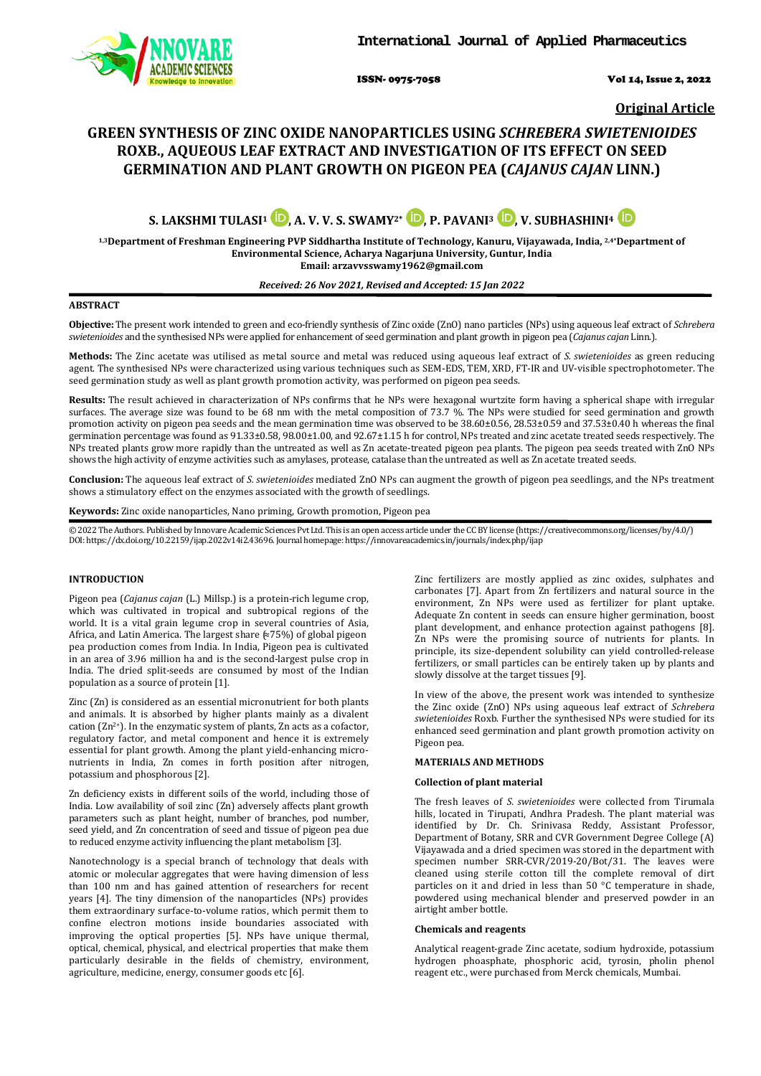

ISSN- 0975-7058 Vol 14, Issue 2, 2022

**Original Article**

# **GREEN SYNTHESIS OF ZINC OXIDE NANOPARTICLES USING** *SCHREBERA SWIETENIOIDES* **ROXB., AQUEOUS LEAF EXTRACT AND INVESTIGATION OF ITS EFFECT ON SEED GERMINATION AND PLANT GROWTH ON PIGEON PEA (***CAJANUS CAJAN* **LINN.)**

**S. LAKSHMI TULASI<sup>1</sup> <b>D.** A. V. V. S. SWAMY<sup>2\*</sup> **D.** P. PAVANI<sup>3</sup> **D.** V. SUBHASHINI<sup>4</sup> **D.** 

**1,3Department of Freshman Engineering PVP Siddhartha Institute of Technology, Kanuru, Vijayawada, India, 2,4\*Department of Environmental Science, Acharya Nagarjuna University, Guntur, India Email[: arzavvsswamy1962@gmail.com](mailto:arzavvsswamy1962@gmail.com)**

#### *Received: 26 Nov 2021, Revised and Accepted: 15 Jan 2022*

# **ABSTRACT**

**Objective:** The present work intended to green and eco-friendly synthesis of Zinc oxide (ZnO) nano particles (NPs) using aqueous leaf extract of *Schrebera swietenioides* and the synthesisedNPs were applied for enhancement of seed germination and plant growth in pigeon pea (*Cajanus cajan* Linn.).

**Methods:** The Zinc acetate was utilised as metal source and metal was reduced using aqueous leaf extract of *S. swietenioides* as green reducing agent. The synthesised NPs were characterized using various techniques such as SEM-EDS, TEM, XRD, FT-IR and UV-visible spectrophotometer. The seed germination study as well as plant growth promotion activity, was performed on pigeon pea seeds.

**Results:** The result achieved in characterization of NPs confirms that he NPs were hexagonal wurtzite form having a spherical shape with irregular surfaces. The average size was found to be 68 nm with the metal composition of 73.7 %. The NPs were studied for seed germination and growth promotion activity on pigeon pea seeds and the mean germination time was observed to be 38.60±0.56, 28.53±0.59 and 37.53±0.40 h whereas the final germination percentage was found as 91.33±0.58, 98.00±1.00, and 92.67±1.15 h for control, NPs treated and zinc acetate treated seeds respectively. The NPs treated plants grow more rapidly than the untreated as well as Zn acetate-treated pigeon pea plants. The pigeon pea seeds treated with ZnO NPs shows the high activity of enzyme activities such as amylases, protease, catalase than the untreated as well as Zn acetate treated seeds.

**Conclusion:** The aqueous leaf extract of *S. swietenioides* mediated ZnO NPs can augment the growth of pigeon pea seedlings, and the NPs treatment shows a stimulatory effect on the enzymes associated with the growth of seedlings.

**Keywords:** Zinc oxide nanoparticles, Nano priming, Growth promotion, Pigeon pea

© 2022 The Authors. Published by Innovare Academic Sciences Pvt Ltd. This is an open access article under the CC BY license [\(https://creativecommons.org/licenses/by/4.0/\)](https://creativecommons.org/licenses/by/4.0/) DOI: https://dx.doi.org/10.22159/ijap.2022v14i2.43696. Journal homepage[: https://innovareacademics.in/journals/index.php/ijap](https://innovareacademics.in/journals/index.php/ijap)

# **INTRODUCTION**

Pigeon pea (*Cajanus cajan* (L.) Millsp.) is a protein-rich legume crop, which was cultivated in tropical and subtropical regions of the world. It is a vital grain legume crop in several countries of Asia, Africa, and Latin America. The largest share (≈75%) of global pigeon pea production comes from India. In India, Pigeon pea is cultivated in an area of 3.96 million ha and is the second-largest pulse crop in India. The dried split-seeds are consumed by most of the Indian population as a source of protein [1].

Zinc (Zn) is considered as an essential micronutrient for both plants and animals. It is absorbed by higher plants mainly as a divalent cation (Zn2+). In the enzymatic system of plants, Zn acts as a cofactor, regulatory factor, and metal component and hence it is extremely essential for plant growth. Among the plant yield-enhancing micronutrients in India, Zn comes in forth position after nitrogen, potassium and phosphorous [2].

Zn deficiency exists in different soils of the world, including those of India. Low availability of soil zinc (Zn) adversely affects plant growth parameters such as plant height, number of branches, pod number, seed yield, and Zn concentration of seed and tissue of pigeon pea due to reduced enzyme activity influencing the plant metabolism [3].

Nanotechnology is a special branch of technology that deals with atomic or molecular aggregates that were having dimension of less than 100 nm and has gained attention of researchers for recent years [4]. The tiny dimension of the nanoparticles (NPs) provides them extraordinary surface-to-volume ratios, which permit them to confine electron motions inside boundaries associated with improving the optical properties [5]. NPs have unique thermal, optical, chemical, physical, and electrical properties that make them particularly desirable in the fields of chemistry, environment, agriculture, medicine, energy, consumer goods etc [6].

Zinc fertilizers are mostly applied as zinc oxides, sulphates and carbonates [7]. Apart from Zn fertilizers and natural source in the environment, Zn NPs were used as fertilizer for plant uptake. Adequate Zn content in seeds can ensure higher germination, boost plant development, and enhance protection against pathogens [8]. Zn NPs were the promising source of nutrients for plants. In principle, its size-dependent solubility can yield controlled-release fertilizers, or small particles can be entirely taken up by plants and slowly dissolve at the target tissues [9].

In view of the above, the present work was intended to synthesize the Zinc oxide (ZnO) NPs using aqueous leaf extract of *Schrebera swietenioides* Roxb. Further the synthesised NPs were studied for its enhanced seed germination and plant growth promotion activity on Pigeon pea.

# **MATERIALS AND METHODS**

#### **Collection of plant material**

The fresh leaves of *S. swietenioides* were collected from Tirumala hills, located in Tirupati, Andhra Pradesh. The plant material was identified by Dr. Ch. Srinivasa Reddy, Assistant Professor, Department of Botany, SRR and CVR Government Degree College (A) Vijayawada and a dried specimen was stored in the department with specimen number SRR-CVR/2019-20/Bot/31. The leaves were cleaned using sterile cotton till the complete removal of dirt particles on it and dried in less than 50  $\degree$ C temperature in shade, powdered using mechanical blender and preserved powder in an airtight amber bottle.

# **Chemicals and reagents**

Analytical reagent-grade Zinc acetate, sodium hydroxide, potassium hydrogen phoasphate, phosphoric acid, tyrosin, pholin phenol reagent etc., were purchased from Merck chemicals, Mumbai.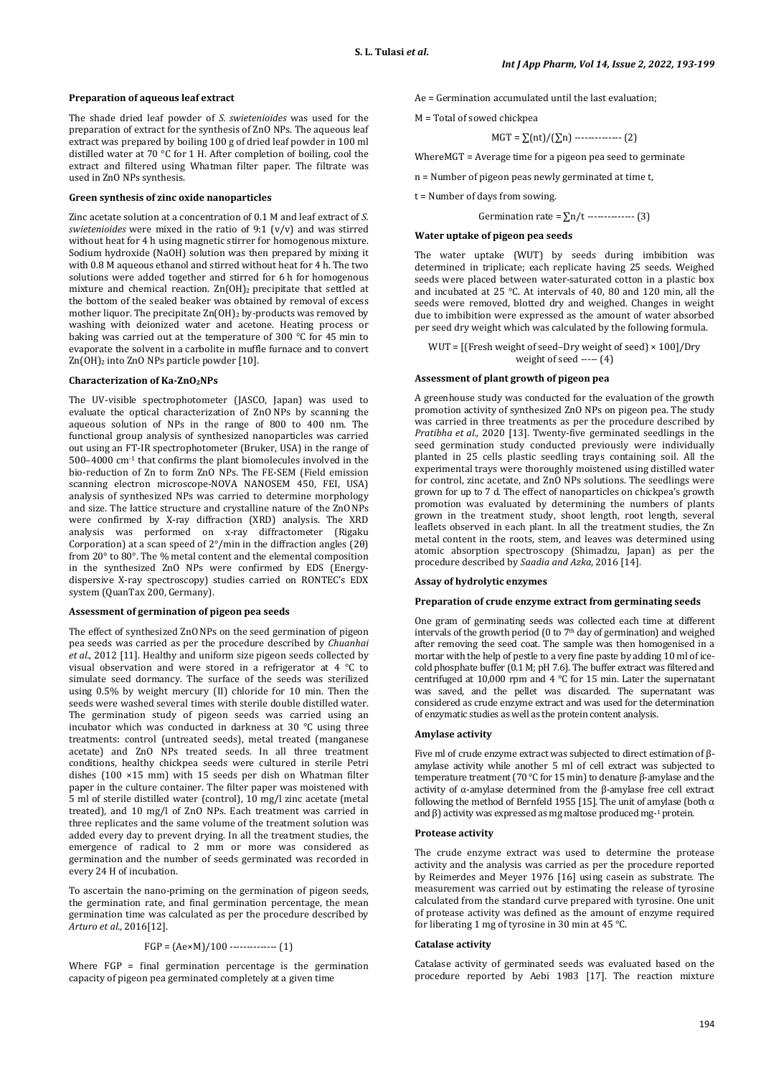#### **Preparation of aqueous leaf extract**

The shade dried leaf powder of *S. swietenioides* was used for the preparation of extract for the synthesis of ZnO NPs. The aqueous leaf extract was prepared by boiling 100 g of dried leaf powder in 100 ml distilled water at 70 °C for 1 H. After completion of boiling, cool the extract and filtered using Whatman filter paper. The filtrate was used in ZnO NPs synthesis.

#### **Green synthesis of zinc oxide nanoparticles**

Zinc acetate solution at a concentration of 0.1 M and leaf extract of *S. swietenioides* were mixed in the ratio of 9:1 (v/v) and was stirred without heat for 4 h using magnetic stirrer for homogenous mixture. Sodium hydroxide (NaOH) solution was then prepared by mixing it with 0.8 M aqueous ethanol and stirred without heat for 4 h. The two solutions were added together and stirred for 6 h for homogenous mixture and chemical reaction. Zn(OH)2 precipitate that settled at the bottom of the sealed beaker was obtained by removal of excess mother liquor. The precipitate  $Zn(OH)_2$  by-products was removed by washing with deionized water and acetone. Heating process or baking was carried out at the temperature of 300 °C for 45 min to evaporate the solvent in a carbolite in muffle furnace and to convert Zn(OH)<sub>2</sub> into ZnO NPs particle powder [10].

#### **Characterization of Ka-ZnO2NPs**

The UV-visible spectrophotometer (JASCO, Japan) was used to evaluate the optical characterization of ZnO NPs by scanning the aqueous solution of NPs in the range of 800 to 400 nm. The functional group analysis of synthesized nanoparticles was carried out using an FT-IR spectrophotometer (Bruker, USA) in the range of 500–4000 cm-1 that confirms the plant biomolecules involved in the bio-reduction of Zn to form ZnO NPs. The FE-SEM (Field emission scanning electron microscope-NOVA NANOSEM 450, FEI, USA) analysis of synthesized NPs was carried to determine morphology and size. The lattice structure and crystalline nature of the ZnONPs were confirmed by X-ray diffraction (XRD) analysis. The XRD analysis was performed on x-ray diffractometer (Rigaku Corporation) at a scan speed of 2°/min in the diffraction angles (2θ) from 20° to 80°. The % metal content and the elemental composition in the synthesized ZnO NPs were confirmed by EDS (Energydispersive X-ray spectroscopy) studies carried on RONTEC's EDX system (QuanTax 200, Germany).

#### **Assessment of germination of pigeon pea seeds**

The effect of synthesized ZnONPs on the seed germination of pigeon pea seeds was carried as per the procedure described by *Chuanhai et al.*, 2012 [11]. Healthy and uniform size pigeon seeds collected by visual observation and were stored in a refrigerator at 4 °C to simulate seed dormancy. The surface of the seeds was sterilized using 0.5% by weight mercury (II) chloride for 10 min. Then the seeds were washed several times with sterile double distilled water. The germination study of pigeon seeds was carried using an incubator which was conducted in darkness at 30 °C using three treatments: control (untreated seeds), metal treated (manganese acetate) and ZnO NPs treated seeds. In all three treatment conditions, healthy chickpea seeds were cultured in sterile Petri dishes (100 ×15 mm) with 15 seeds per dish on Whatman filter paper in the culture container. The filter paper was moistened with 5 ml of sterile distilled water (control), 10 mg/l zinc acetate (metal treated), and 10 mg/l of ZnO NPs. Each treatment was carried in three replicates and the same volume of the treatment solution was added every day to prevent drying. In all the treatment studies, the emergence of radical to 2 mm or more was considered as germination and the number of seeds germinated was recorded in every 24 H of incubation.

To ascertain the nano-priming on the germination of pigeon seeds, the germination rate, and final germination percentage, the mean germination time was calculated as per the procedure described by *Arturo et al.*, 2016[12].

#### $FGP = (Ae \times M)/100$  -------------- (1)

Where FGP = final germination percentage is the germination capacity of pigeon pea germinated completely at a given time

Ae = Germination accumulated until the last evaluation;

```
M = Total of sowed chickpea
```

$$
MGT = \sum(nt)/(\sum n) \cdots \cdots \cdots \cdots \cdots (2)
$$

WhereMGT = Average time for a pigeon pea seed to germinate

n = Number of pigeon peas newly germinated at time t,

t = Number of days from sowing.

Germination rate =  $\Sigma n/t$  -------------- (3)

# **Water uptake of pigeon pea seeds**

The water uptake (WUT) by seeds during imbibition was determined in triplicate; each replicate having 25 seeds. Weighed seeds were placed between water-saturated cotton in a plastic box and incubated at 25 °C. At intervals of 40, 80 and 120 min, all the seeds were removed, blotted dry and weighed. Changes in weight due to imbibition were expressed as the amount of water absorbed per seed dry weight which was calculated by the following formula.

WUT = [(Fresh weight of seed–Dry weight of seed) × 100]/Dry weight of seed ----- (4)

#### **Assessment of plant growth of pigeon pea**

A greenhouse study was conducted for the evaluation of the growth promotion activity of synthesized ZnO NPs on pigeon pea. The study was carried in three treatments as per the procedure described by *Pratibha et al.*, 2020 [13]. Twenty-five germinated seedlings in the seed germination study conducted previously were individually planted in 25 cells plastic seedling trays containing soil. All the experimental trays were thoroughly moistened using distilled water for control, zinc acetate, and ZnO NPs solutions. The seedlings were grown for up to 7 d. The effect of nanoparticles on chickpea's growth promotion was evaluated by determining the numbers of plants grown in the treatment study, shoot length, root length, several leaflets observed in each plant. In all the treatment studies, the Zn metal content in the roots, stem, and leaves was determined using atomic absorption spectroscopy (Shimadzu, Japan) as per the procedure described by *Saadia and Azka*, 2016 [14].

## **Assay of hydrolytic enzymes**

#### **Preparation of crude enzyme extract from germinating seeds**

One gram of germinating seeds was collected each time at different intervals of the growth period (0 to  $7<sup>th</sup>$  day of germination) and weighed after removing the seed coat. The sample was then homogenised in a mortar with the help of pestle to a very fine paste by adding 10 ml of icecold phosphate buffer (0.1 M; pH 7.6). The buffer extract was filtered and centrifuged at 10,000 rpm and 4 °C for 15 min. Later the supernatant was saved, and the pellet was discarded. The supernatant was considered as crude enzyme extract and was used for the determination of enzymatic studies as well as the protein content analysis.

#### **Amylase activity**

Five ml of crude enzyme extract was subjected to direct estimation of βamylase activity while another 5 ml of cell extract was subjected to temperature treatment (70 °C for 15 min) to denature β-amylase and the activity of α-amylase determined from the β-amylase free cell extract following the method of Bernfeld 1955 [15]. The unit of amylase (both  $\alpha$ and β) activity was expressed as mg maltose produced mg-1 protein.

#### **Protease activity**

The crude enzyme extract was used to determine the protease activity and the analysis was carried as per the procedure reported by Reimerdes and Meyer 1976 [16] using casein as substrate. The measurement was carried out by estimating the release of tyrosine calculated from the standard curve prepared with tyrosine. One unit of protease activity was defined as the amount of enzyme required for liberating 1 mg of tyrosine in 30 min at 45 °C.

## **Catalase activity**

Catalase activity of germinated seeds was evaluated based on the procedure reported by Aebi 1983 [17]. The reaction mixture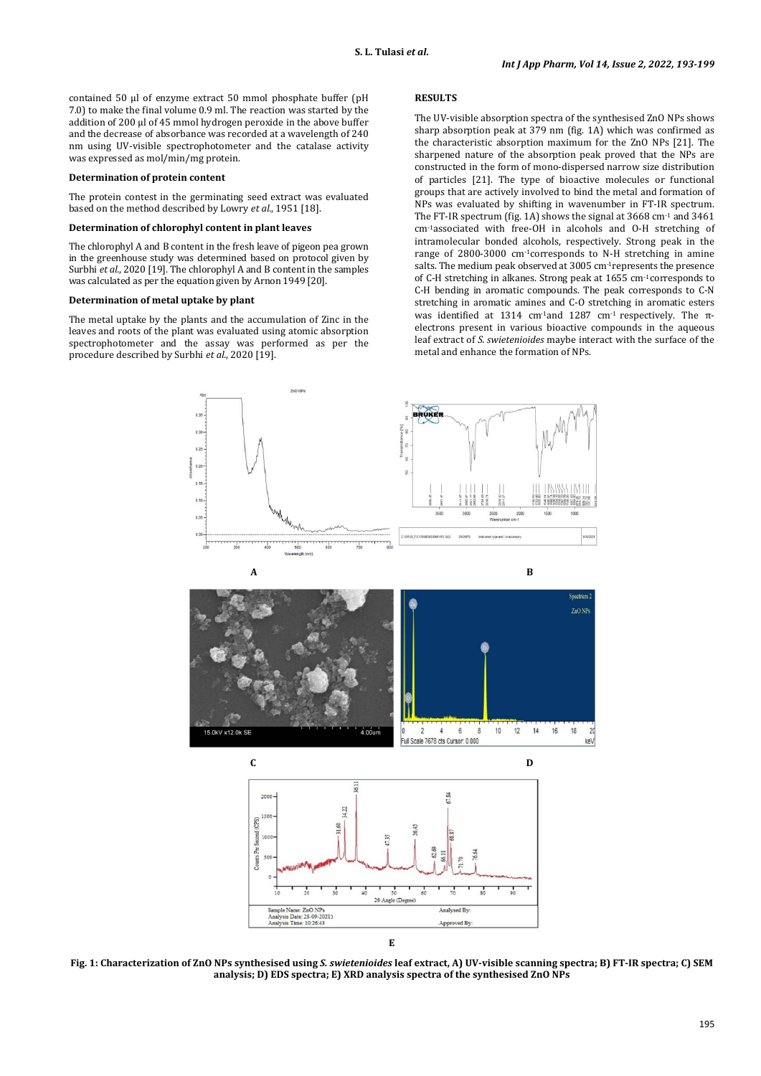contained 50 µl of enzyme extract 50 mmol phosphate buffer (pH 7.0) to make the final volume 0.9 ml. The reaction was started by the addition of 200 µl of 45 mmol hydrogen peroxide in the above buffer and the decrease of absorbance was recorded at a wavelength of 240 nm using UV-visible spectrophotometer and the catalase activity was expressed as mol/min/mg protein.

## **Determination of protein content**

The protein contest in the germinating seed extract was evaluated based on the method described by Lowry *et al.*, 1951 [18].

#### **Determination of chlorophyl content in plant leaves**

The chlorophyl A and B content in the fresh leave of pigeon pea grown in the greenhouse study was determined based on protocol given by Surbhi *et al.*, 2020 [19]. The chlorophyl A and B content in the samples was calculated as per the equation given by Arnon 1949 [20].

## **Determination of metal uptake by plant**

The metal uptake by the plants and the accumulation of Zinc in the leaves and roots of the plant was evaluated using atomic absorption spectrophotometer and the assay was performed as per the procedure described by Surbhi *et al.*, 2020 [19].

# **RESULTS**

The UV-visible absorption spectra of the synthesised ZnO NPs shows sharp absorption peak at 379 nm (fig. 1A) which was confirmed as the characteristic absorption maximum for the ZnO NPs [21]. The sharpened nature of the absorption peak proved that the NPs are constructed in the form of mono-dispersed narrow size distribution of particles [21]. The type of bioactive molecules or functional groups that are actively involved to bind the metal and formation of NPs was evaluated by shifting in wavenumber in FT-IR spectrum. The FT-IR spectrum (fig. 1A) shows the signal at 3668 cm-1 and 3461 cm-1associated with free-OH in alcohols and O-H stretching of intramolecular bonded alcohols, respectively. Strong peak in the range of 2800-3000 cm-1corresponds to N-H stretching in amine salts. The medium peak observed at 3005 cm-1represents the presence of C-H stretching in alkanes. Strong peak at 1655 cm-1 corresponds to C-H bending in aromatic compounds. The peak corresponds to C-N stretching in aromatic amines and C-O stretching in aromatic esters was identified at 1314 cm-1and 1287 cm-1 respectively. The πelectrons present in various bioactive compounds in the aqueous leaf extract of *S. swietenioides* maybe interact with the surface of the metal and enhance the formation of NPs.



**Fig. 1: Characterization of ZnO NPs synthesised using** *S. swietenioides* **leaf extract, A) UV-visible scanning spectra; B) FT-IR spectra; C) SEM analysis; D) EDS spectra; E) XRD analysis spectra of the synthesised ZnO NPs**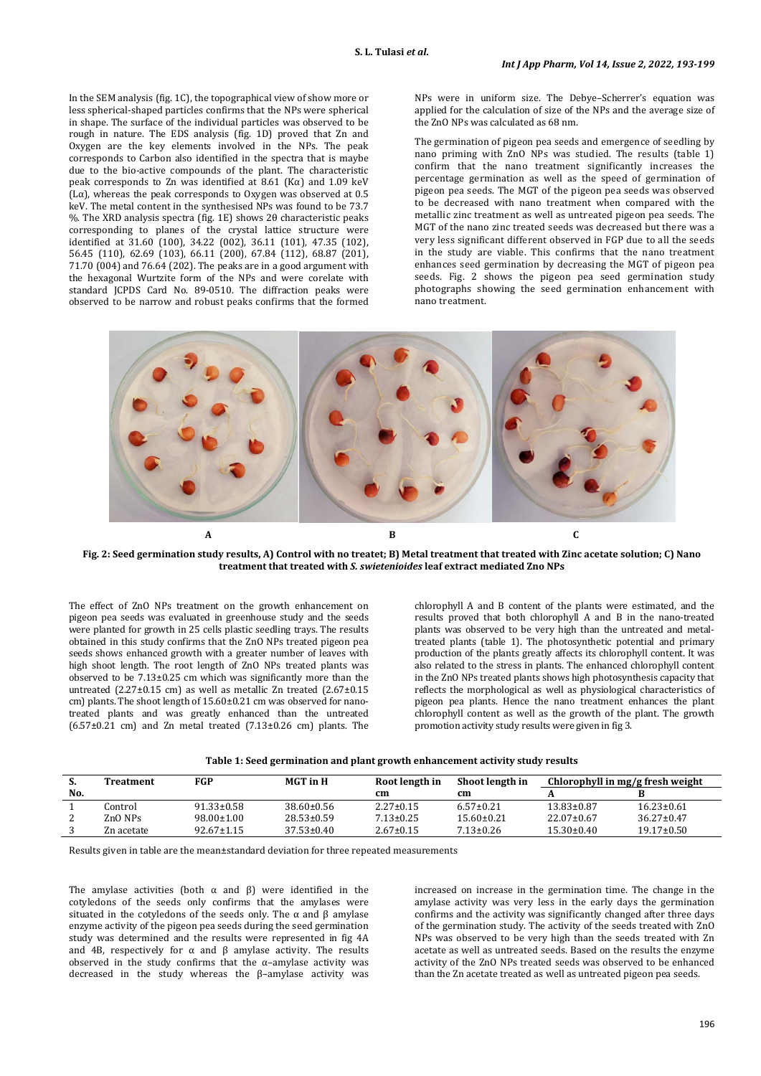In the SEM analysis (fig. 1C), the topographical view of show more or less spherical-shaped particles confirms that the NPs were spherical in shape. The surface of the individual particles was observed to be rough in nature. The EDS analysis (fig. 1D) proved that Zn and Oxygen are the key elements involved in the NPs. The peak corresponds to Carbon also identified in the spectra that is maybe due to the bio-active compounds of the plant. The characteristic peak corresponds to Zn was identified at 8.61 (K $\alpha$ ) and 1.09 keV (L $\alpha$ ), whereas the peak corresponds to Oxygen was observed at 0.5 keV. The metal content in the synthesised NPs was found to be 73.7 %. The XRD analysis spectra (fig. 1E) shows 2θ characteristic peaks corresponding to planes of the crystal lattice structure were identified at 31.60 (100), 34.22 (002), 36.11 (101), 47.35 (102), 56.45 (110), 62.69 (103), 66.11 (200), 67.84 (112), 68.87 (201), 71.70 (004) and 76.64 (202). The peaks are in a good argument with the hexagonal Wurtzite form of the NPs and were corelate with standard ICPDS Card No. 89-0510. The diffraction peaks were observed to be narrow and robust peaks confirms that the formed

NPs were in uniform size. The Debye–Scherrer's equation was applied for the calculation of size of the NPs and the average size of the ZnO NPs was calculated as 68 nm.

The germination of pigeon pea seeds and emergence of seedling by nano priming with ZnO NPs was studied. The results (table 1) confirm that the nano treatment significantly increases the percentage germination as well as the speed of germination of pigeon pea seeds. The MGT of the pigeon pea seeds was observed to be decreased with nano treatment when compared with the metallic zinc treatment as well as untreated pigeon pea seeds. The MGT of the nano zinc treated seeds was decreased but there was a very less significant different observed in FGP due to all the seeds in the study are viable. This confirms that the nano treatment enhances seed germination by decreasing the MGT of pigeon pea seeds. Fig. 2 shows the pigeon pea seed germination study photographs showing the seed germination enhancement with nano treatment.

![](_page_3_Picture_5.jpeg)

**Fig. 2: Seed germination study results, A) Control with no treatet; B) Metal treatment that treated with Zinc acetate solution; C) Nano treatment that treated with** *S. swietenioides* **leaf extract mediated Zno NPs**

The effect of ZnO NPs treatment on the growth enhancement on pigeon pea seeds was evaluated in greenhouse study and the seeds were planted for growth in 25 cells plastic seedling trays. The results obtained in this study confirms that the ZnO NPs treated pigeon pea seeds shows enhanced growth with a greater number of leaves with high shoot length. The root length of ZnO NPs treated plants was observed to be 7.13±0.25 cm which was significantly more than the untreated (2.27±0.15 cm) as well as metallic Zn treated (2.67±0.15 cm) plants. The shoot length of 15.60±0.21 cm was observed for nanotreated plants and was greatly enhanced than the untreated  $(6.57\pm0.21$  cm) and Zn metal treated  $(7.13\pm0.26$  cm) plants. The

chlorophyll A and B content of the plants were estimated, and the results proved that both chlorophyll A and B in the nano-treated plants was observed to be very high than the untreated and metaltreated plants (table 1). The photosynthetic potential and primary production of the plants greatly affects its chlorophyll content. It was also related to the stress in plants. The enhanced chlorophyll content in the ZnO NPs treated plants shows high photosynthesis capacity that reflects the morphological as well as physiological characteristics of pigeon pea plants. Hence the nano treatment enhances the plant chlorophyll content as well as the growth of the plant. The growth promotion activity study results were given in fig 3.

| Table 1: Seed germination and plant growth enhancement activity study results |  |  |
|-------------------------------------------------------------------------------|--|--|
|-------------------------------------------------------------------------------|--|--|

| S.  | Treatment   | FGP              | MGT in H         | Root length in  | Shoot length in  | Chlorophyll in mg/g fresh weight |                  |
|-----|-------------|------------------|------------------|-----------------|------------------|----------------------------------|------------------|
| No. |             |                  |                  | cm              | cm               |                                  |                  |
|     | Control     | $91.33 \pm 0.58$ | $38.60 \pm 0.56$ | $2.27 \pm 0.15$ | $6.57 \pm 0.21$  | $13.83 \pm 0.87$                 | $16.23 \pm 0.61$ |
|     | ZnO NPs     | $98.00 \pm 1.00$ | $28.53 \pm 0.59$ | $7.13 \pm 0.25$ | $15.60 \pm 0.21$ | $22.07 \pm 0.67$                 | $36.27 \pm 0.47$ |
|     | Zn acetate. | $92.67 \pm 1.15$ | $37.53 \pm 0.40$ | $2.67 \pm 0.15$ | $7.13 \pm 0.26$  | $15.30 \pm 0.40$                 | $19.17 \pm 0.50$ |

Results given in table are the mean±standard deviation for three repeated measurements

The amylase activities (both  $\alpha$  and β) were identified in the cotyledons of the seeds only confirms that the amylases were situated in the cotyledons of the seeds only. The  $\alpha$  and  $\beta$  amylase enzyme activity of the pigeon pea seeds during the seed germination study was determined and the results were represented in fig 4A and 4B, respectively for  $\alpha$  and  $\beta$  amylase activity. The results observed in the study confirms that the α–amylase activity was decreased in the study whereas the β–amylase activity was

increased on increase in the germination time. The change in the amylase activity was very less in the early days the germination confirms and the activity was significantly changed after three days of the germination study. The activity of the seeds treated with ZnO NPs was observed to be very high than the seeds treated with Zn acetate as well as untreated seeds. Based on the results the enzyme activity of the ZnO NPs treated seeds was observed to be enhanced than the Zn acetate treated as well as untreated pigeon pea seeds.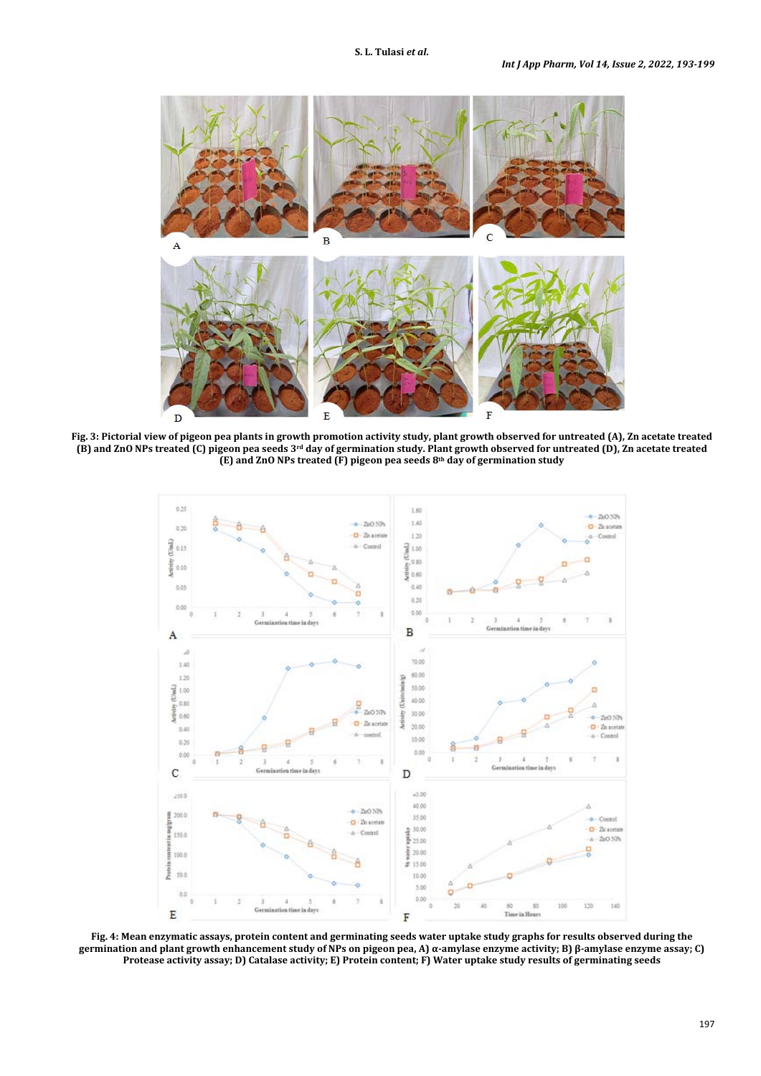![](_page_4_Figure_2.jpeg)

**Fig. 3: Pictorial view of pigeon pea plants in growth promotion activity study, plant growth observed for untreated (A), Zn acetate treated (B) and ZnO NPs treated (C) pigeon pea seeds 3rd day of germination study. Plant growth observed for untreated (D), Zn acetate treated (E) and ZnO NPs treated (F) pigeon pea seeds 8th day of germination study**

![](_page_4_Figure_4.jpeg)

**Fig. 4: Mean enzymatic assays, protein content and germinating seeds water uptake study graphs for results observed during the germination and plant growth enhancement study of NPs on pigeon pea, A) α-amylase enzyme activity; B) β-amylase enzyme assay; C) Protease activity assay; D) Catalase activity; E) Protein content; F) Water uptake study results of germinating seeds**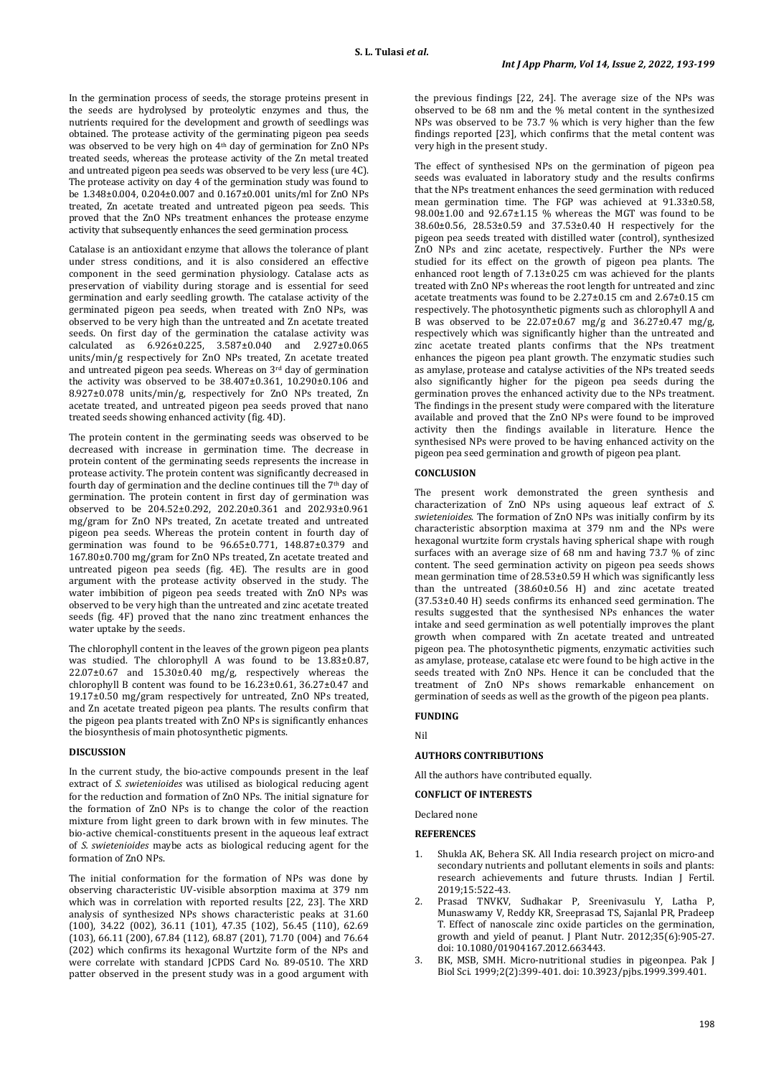In the germination process of seeds, the storage proteins present in the seeds are hydrolysed by proteolytic enzymes and thus, the nutrients required for the development and growth of seedlings was obtained. The protease activity of the germinating pigeon pea seeds was observed to be very high on 4<sup>th</sup> day of germination for ZnO NPs treated seeds, whereas the protease activity of the Zn metal treated and untreated pigeon pea seeds was observed to be very less (ure 4C). The protease activity on day 4 of the germination study was found to be 1.348±0.004, 0.204±0.007 and 0.167±0.001 units/ml for ZnO NPs treated, Zn acetate treated and untreated pigeon pea seeds. This proved that the ZnO NPs treatment enhances the protease enzyme activity that subsequently enhances the seed germination process.

Catalase is an antioxidant enzyme that allows the tolerance of plant under stress conditions, and it is also considered an effective component in the seed germination physiology. Catalase acts as preservation of viability during storage and is essential for seed germination and early seedling growth. The catalase activity of the germinated pigeon pea seeds, when treated with ZnO NPs, was observed to be very high than the untreated and Zn acetate treated seeds. On first day of the germination the catalase activity was calculated as  $6.926 \pm 0.225$ ,  $3.587 \pm 0.040$  and  $2.927 \pm 0.065$ units/min/g respectively for ZnO NPs treated, Zn acetate treated and untreated pigeon pea seeds. Whereas on  $3<sup>rd</sup>$  day of germination the activity was observed to be 38.407±0.361, 10.290±0.106 and 8.927±0.078 units/min/g, respectively for ZnO NPs treated, Zn acetate treated, and untreated pigeon pea seeds proved that nano treated seeds showing enhanced activity (fig. 4D).

The protein content in the germinating seeds was observed to be decreased with increase in germination time. The decrease in protein content of the germinating seeds represents the increase in protease activity. The protein content was significantly decreased in fourth day of germination and the decline continues till the  $7<sup>th</sup>$  day of germination. The protein content in first day of germination was observed to be 204.52±0.292, 202.20±0.361 and 202.93±0.961 mg/gram for ZnO NPs treated, Zn acetate treated and untreated pigeon pea seeds. Whereas the protein content in fourth day of germination was found to be  $96.65\pm0.771$ ,  $148.87\pm0.379$  and 167.80±0.700 mg/gram for ZnO NPs treated, Zn acetate treated and untreated pigeon pea seeds (fig. 4E). The results are in good argument with the protease activity observed in the study. The water imbibition of pigeon pea seeds treated with ZnO NPs was observed to be very high than the untreated and zinc acetate treated seeds (fig. 4F) proved that the nano zinc treatment enhances the water uptake by the seeds.

The chlorophyll content in the leaves of the grown pigeon pea plants was studied. The chlorophyll A was found to be 13.83±0.87, 22.07±0.67 and 15.30±0.40 mg/g, respectively whereas the chlorophyll B content was found to be 16.23±0.61, 36.27±0.47 and 19.17±0.50 mg/gram respectively for untreated, ZnO NPs treated, and Zn acetate treated pigeon pea plants. The results confirm that the pigeon pea plants treated with ZnO NPs is significantly enhances the biosynthesis of main photosynthetic pigments.

## **DISCUSSION**

In the current study, the bio-active compounds present in the leaf extract of *S. swietenioides* was utilised as biological reducing agent for the reduction and formation of ZnO NPs. The initial signature for the formation of ZnO NPs is to change the color of the reaction mixture from light green to dark brown with in few minutes. The bio-active chemical-constituents present in the aqueous leaf extract of *S. swietenioides* maybe acts as biological reducing agent for the formation of ZnO NPs.

The initial conformation for the formation of NPs was done by observing characteristic UV-visible absorption maxima at 379 nm which was in correlation with reported results [22, 23]. The XRD analysis of synthesized NPs shows characteristic peaks at 31.60 (100), 34.22 (002), 36.11 (101), 47.35 (102), 56.45 (110), 62.69 (103), 66.11 (200), 67.84 (112), 68.87 (201), 71.70 (004) and 76.64 (202) which confirms its hexagonal Wurtzite form of the NPs and were correlate with standard JCPDS Card No. 89-0510. The XRD patter observed in the present study was in a good argument with the previous findings [22, 24]. The average size of the NPs was observed to be 68 nm and the % metal content in the synthesized NPs was observed to be 73.7 % which is very higher than the few findings reported [23], which confirms that the metal content was very high in the present study.

The effect of synthesised NPs on the germination of pigeon pea seeds was evaluated in laboratory study and the results confirms that the NPs treatment enhances the seed germination with reduced mean germination time. The FGP was achieved at 91.33±0.58, 98.00±1.00 and 92.67±1.15 % whereas the MGT was found to be 38.60±0.56, 28.53±0.59 and 37.53±0.40 H respectively for the pigeon pea seeds treated with distilled water (control), synthesized ZnO NPs and zinc acetate, respectively. Further the NPs were studied for its effect on the growth of pigeon pea plants. The enhanced root length of  $7.13\pm0.25$  cm was achieved for the plants treated with ZnO NPs whereas the root length for untreated and zinc acetate treatments was found to be 2.27±0.15 cm and 2.67±0.15 cm respectively. The photosynthetic pigments such as chlorophyll A and B was observed to be  $22.07\pm0.67$  mg/g and  $36.27\pm0.47$  mg/g, respectively which was significantly higher than the untreated and zinc acetate treated plants confirms that the NPs treatment enhances the pigeon pea plant growth. The enzymatic studies such as amylase, protease and catalyse activities of the NPs treated seeds also significantly higher for the pigeon pea seeds during the germination proves the enhanced activity due to the NPs treatment. The findings in the present study were compared with the literature available and proved that the ZnO NPs were found to be improved activity then the findings available in literature. Hence the synthesised NPs were proved to be having enhanced activity on the pigeon pea seed germination and growth of pigeon pea plant.

#### **CONCLUSION**

The present work demonstrated the green synthesis and characterization of ZnO NPs using aqueous leaf extract of *S. swietenioides*. The formation of ZnO NPs was initially confirm by its characteristic absorption maxima at 379 nm and the NPs were hexagonal wurtzite form crystals having spherical shape with rough surfaces with an average size of 68 nm and having 73.7 % of zinc content. The seed germination activity on pigeon pea seeds shows mean germination time of 28.53±0.59 H which was significantly less than the untreated (38.60±0.56 H) and zinc acetate treated (37.53±0.40 H) seeds confirms its enhanced seed germination. The results suggested that the synthesised NPs enhances the water intake and seed germination as well potentially improves the plant growth when compared with Zn acetate treated and untreated pigeon pea. The photosynthetic pigments, enzymatic activities such as amylase, protease, catalase etc were found to be high active in the seeds treated with ZnO NPs. Hence it can be concluded that the treatment of ZnO NPs shows remarkable enhancement on germination of seeds as well as the growth of the pigeon pea plants.

#### **FUNDING**

#### Nil

#### **AUTHORS CONTRIBUTIONS**

All the authors have contributed equally.

## **CONFLICT OF INTERESTS**

Declared none

## **REFERENCES**

- 1. Shukla AK, Behera SK. All India research project on micro-and secondary nutrients and pollutant elements in soils and plants: research achievements and future thrusts. Indian J Fertil. 2019;15:522-43.
- 2. Prasad TNVKV, Sudhakar P, Sreenivasulu Y, Latha P, Munaswamy V, Reddy KR, Sreeprasad TS, Sajanlal PR, Pradeep T. Effect of nanoscale zinc oxide particles on the germination, growth and yield of peanut. J Plant Nutr. 2012;35(6):905-27. doi[: 10.1080/01904167.2012.663443.](https://doi.org/10.1080/01904167.2012.663443)
- 3. BK, MSB, SMH. Micro-nutritional studies in pigeonpea. Pak J Biol Sci. 1999;2(2):399-401. doi[: 10.3923/pjbs.1999.399.401.](https://doi.org/10.3923/pjbs.1999.399.401)